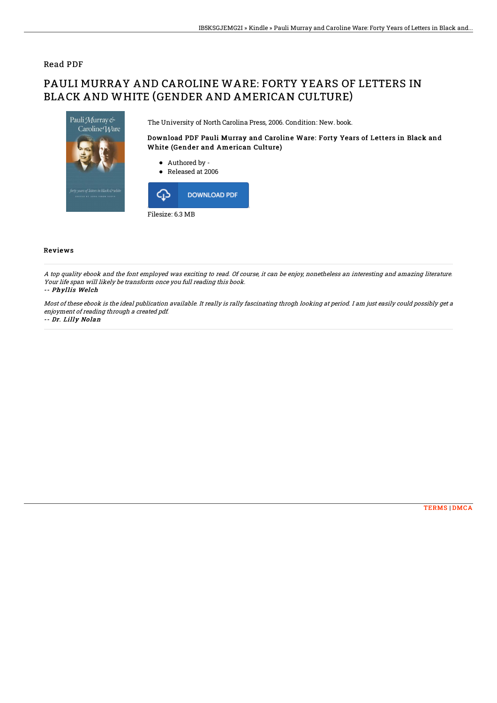## Read PDF

# PAULI MURRAY AND CAROLINE WARE: FORTY YEARS OF LETTERS IN BLACK AND WHITE (GENDER AND AMERICAN CULTURE)



The University of North Carolina Press, 2006. Condition: New. book.

## Download PDF Pauli Murray and Caroline Ware: Forty Years of Letters in Black and White (Gender and American Culture)

- Authored by -
- Released at 2006



### Reviews

A top quality ebook and the font employed was exciting to read. Of course, it can be enjoy, nonetheless an interesting and amazing literature. Your life span will likely be transform once you full reading this book.

#### -- Phyllis Welch

Most of these ebook is the ideal publication available. It really is rally fascinating throgh looking at period. I am just easily could possibly get <sup>a</sup> enjoyment of reading through <sup>a</sup> created pdf.

#### -- Dr. Lilly Nolan